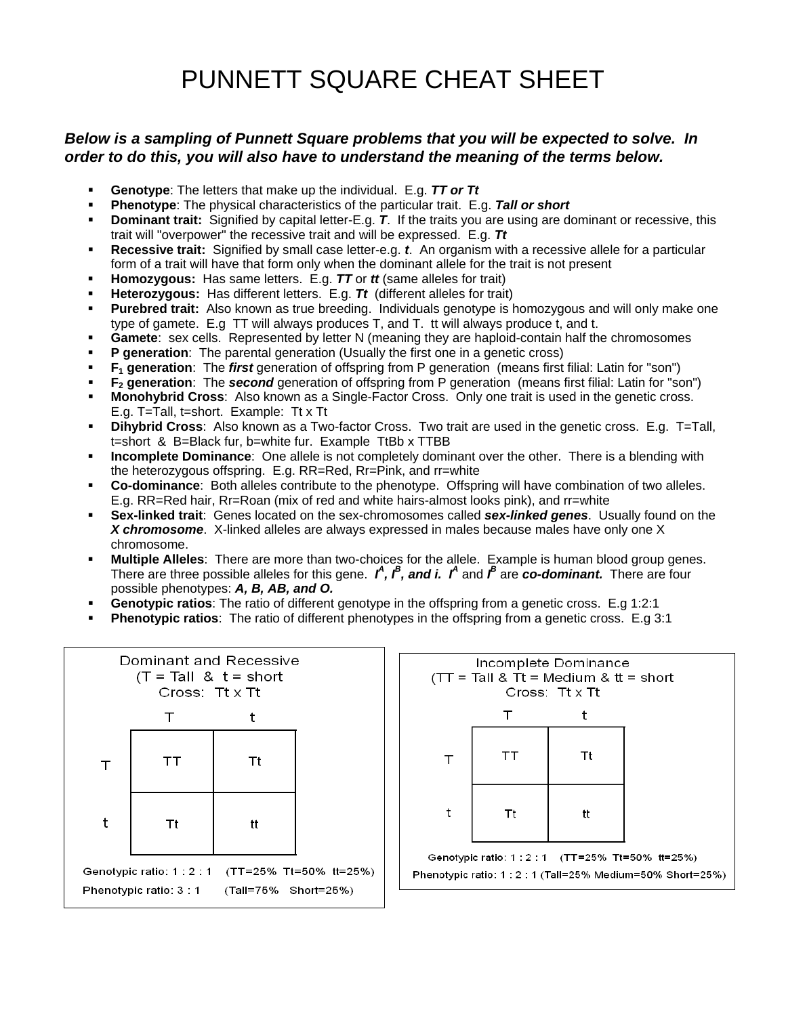## PUNNETT SQUARE CHEAT SHEET

## *Below is a sampling of Punnett Square problems that you will be expected to solve. In order to do this, you will also have to understand the meaning of the terms below.*

- **Genotype**: The letters that make up the individual. E.g. *TT or Tt*
- **Phenotype**: The physical characteristics of the particular trait. E.g. *Tall or short*
- **Dominant trait:** Signified by capital letter-E.g. *T*. If the traits you are using are dominant or recessive, this trait will "overpower" the recessive trait and will be expressed. E.g. *Tt*
- **Recessive trait:** Signified by small case letter-e.g. *t*. An organism with a recessive allele for a particular form of a trait will have that form only when the dominant allele for the trait is not present
- **Homozygous:** Has same letters. E.g. *TT* or *tt* (same alleles for trait)
- **Heterozygous:** Has different letters. E.g. *Tt* (different alleles for trait)
- **Purebred trait:** Also known as true breeding. Individuals genotype is homozygous and will only make one type of gamete. E.g TT will always produces T, and T. tt will always produce t, and t.
- **Gamete**: sex cells. Represented by letter N (meaning they are haploid-contain half the chromosomes
- **P** generation: The parental generation (Usually the first one in a genetic cross)
- **F1 generation**: The *first* generation of offspring from P generation (means first filial: Latin for "son")
- **F2 generation**: The *second* generation of offspring from P generation (means first filial: Latin for "son")
- **Monohybrid Cross**: Also known as a Single-Factor Cross. Only one trait is used in the genetic cross. E.g. T=Tall, t=short. Example: Tt x Tt
- **Dihybrid Cross**: Also known as a Two-factor Cross. Two trait are used in the genetic cross. E.g. T=Tall, t=short & B=Black fur, b=white fur. Example TtBb x TTBB
- **Incomplete Dominance**: One allele is not completely dominant over the other. There is a blending with the heterozygous offspring. E.g. RR=Red, Rr=Pink, and rr=white
- **Co-dominance**: Both alleles contribute to the phenotype. Offspring will have combination of two alleles. E.g. RR=Red hair, Rr=Roan (mix of red and white hairs-almost looks pink), and rr=white
- **Sex-linked trait**: Genes located on the sex-chromosomes called *sex-linked genes*. Usually found on the *X chromosome*. X-linked alleles are always expressed in males because males have only one X chromosome.
- **Multiple Alleles**: There are more than two-choices for the allele. Example is human blood group genes. There are three possible alleles for this gene.  $\hat{I}$ ,  $\hat{I}$ , and *i.*  $\hat{I}$  and  $\hat{I}$  are *co-dominant.* There are four possible phenotypes: *A, B, AB, and O.*
- **Genotypic ratios**: The ratio of different genotype in the offspring from a genetic cross. E.g 1:2:1
- **Phenotypic ratios**: The ratio of different phenotypes in the offspring from a genetic cross. E.g 3:1